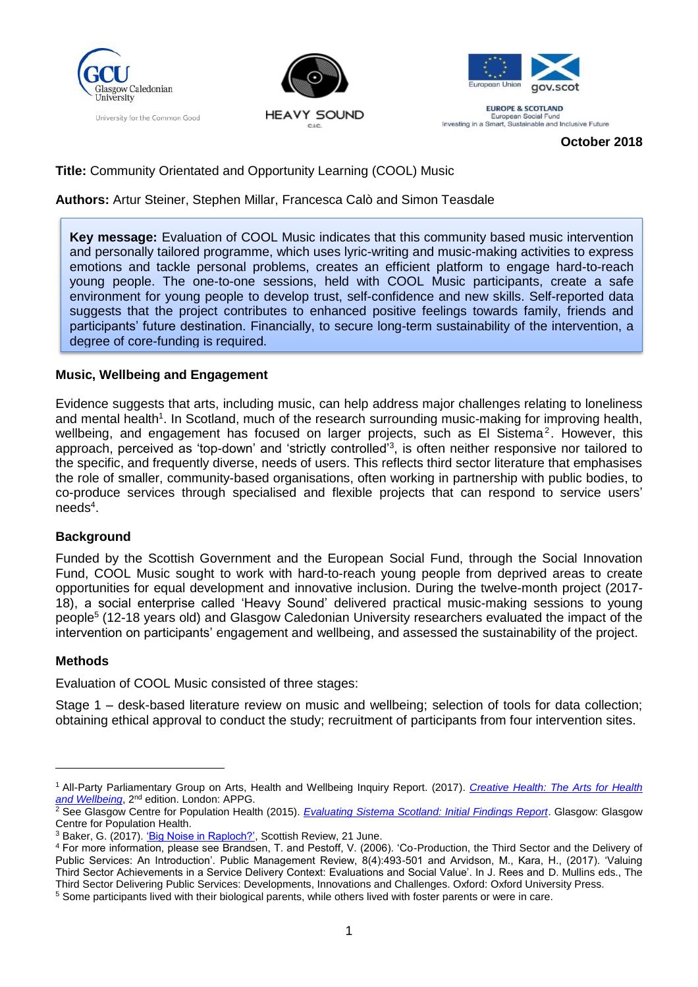





**EUROPE & SCOTLAND** European Social Fund<br>Investing in a Smart, Sustainable and Inclusive Future

**October 2018**

# **Title:** Community Orientated and Opportunity Learning (COOL) Music

#### **Authors:** Artur Steiner, Stephen Millar, Francesca Calò and Simon Teasdale

**Key message:** Evaluation of COOL Music indicates that this community based music intervention and personally tailored programme, which uses lyric-writing and music-making activities to express emotions and tackle personal problems, creates an efficient platform to engage hard-to-reach young people. The one-to-one sessions, held with COOL Music participants, create a safe environment for young people to develop trust, self-confidence and new skills. Self-reported data suggests that the project contributes to enhanced positive feelings towards family, friends and participants' future destination. Financially, to secure long-term sustainability of the intervention, a degree of core-funding is required.

#### **Music, Wellbeing and Engagement**

Evidence suggests that arts, including music, can help address major challenges relating to loneliness and mental health<sup>1</sup>. In Scotland, much of the research surrounding music-making for improving health, wellbeing, and engagement has focused on larger projects, such as El Sistema<sup>2</sup>. However, this approach, perceived as 'top-down' and 'strictly controlled'<sup>3</sup>, is often neither responsive nor tailored to the specific, and frequently diverse, needs of users. This reflects third sector literature that emphasises the role of smaller, community-based organisations, often working in partnership with public bodies, to co-produce services through specialised and flexible projects that can respond to service users'  $\mathsf{needs}^4$ .

# **Background**

Funded by the Scottish Government and the European Social Fund, through the Social Innovation Fund, COOL Music sought to work with hard-to-reach young people from deprived areas to create opportunities for equal development and innovative inclusion. During the twelve-month project (2017- 18), a social enterprise called 'Heavy Sound' delivered practical music-making sessions to young people<sup>5</sup> (12-18 years old) and Glasgow Caledonian University researchers evaluated the impact of the intervention on participants' engagement and wellbeing, and assessed the sustainability of the project.

#### **Methods**

Evaluation of COOL Music consisted of three stages:

Stage 1 – desk-based literature review on music and wellbeing; selection of tools for data collection; obtaining ethical approval to conduct the study; recruitment of participants from four intervention sites.

<sup>1</sup> All-Party Parliamentary Group on Arts, Health and Wellbeing Inquiry Report. (2017). *[Creative Health: The Arts for Health](http://www.artshealthandwellbeing.org.uk/appg-inquiry/Publications/Creative_Health_Inquiry_Report_2017_-_Second_Edition.pdf)  [and Wellbeing](http://www.artshealthandwellbeing.org.uk/appg-inquiry/Publications/Creative_Health_Inquiry_Report_2017_-_Second_Edition.pdf)*, 2nd edition. London: APPG.

<sup>&</sup>lt;sup>2</sup> See Glasgow Centre for Population Health (2015). *[Evaluating Sistema Scotland: Initial Findings Report](http://www.gcph.co.uk/assets/0000/5424/Sistema_findings_report.pdf)*. Glasgow: Glasgow Centre for Population Health.

<sup>&</sup>lt;sup>3</sup> Baker, G. (2017)[. 'Big Noise in Raploch?',](http://www.scottishreview.net/GeoffBaker285a.html) Scottish Review, 21 June.

<sup>4</sup> For more information, please see Brandsen, T. and Pestoff, V. (2006). 'Co-Production, the Third Sector and the Delivery of Public Services: An Introduction'. Public Management Review, 8(4):493-501 and Arvidson, M., Kara, H., (2017). 'Valuing Third Sector Achievements in a Service Delivery Context: Evaluations and Social Value'. In J. Rees and D. Mullins eds., The Third Sector Delivering Public Services: Developments, Innovations and Challenges. Oxford: Oxford University Press.

<sup>&</sup>lt;sup>5</sup> Some participants lived with their biological parents, while others lived with foster parents or were in care.